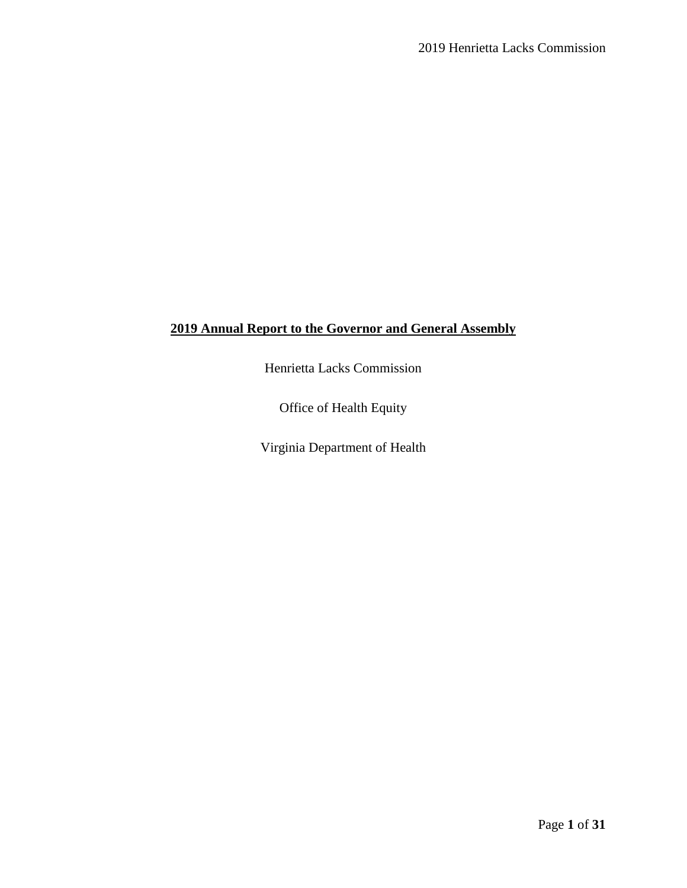# **2019 Annual Report to the Governor and General Assembly**

Henrietta Lacks Commission

Office of Health Equity

Virginia Department of Health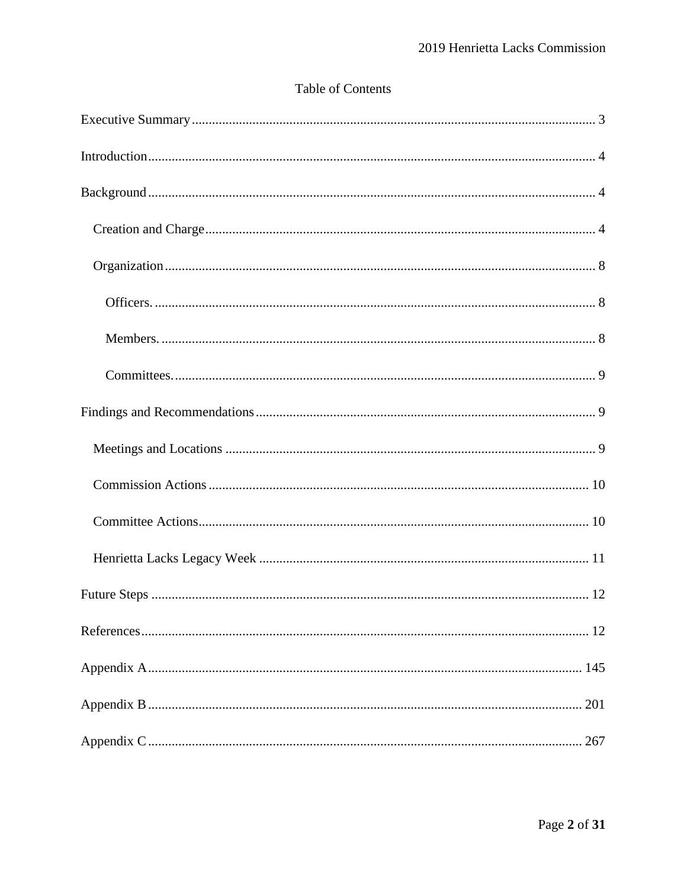# Table of Contents

| 267 |
|-----|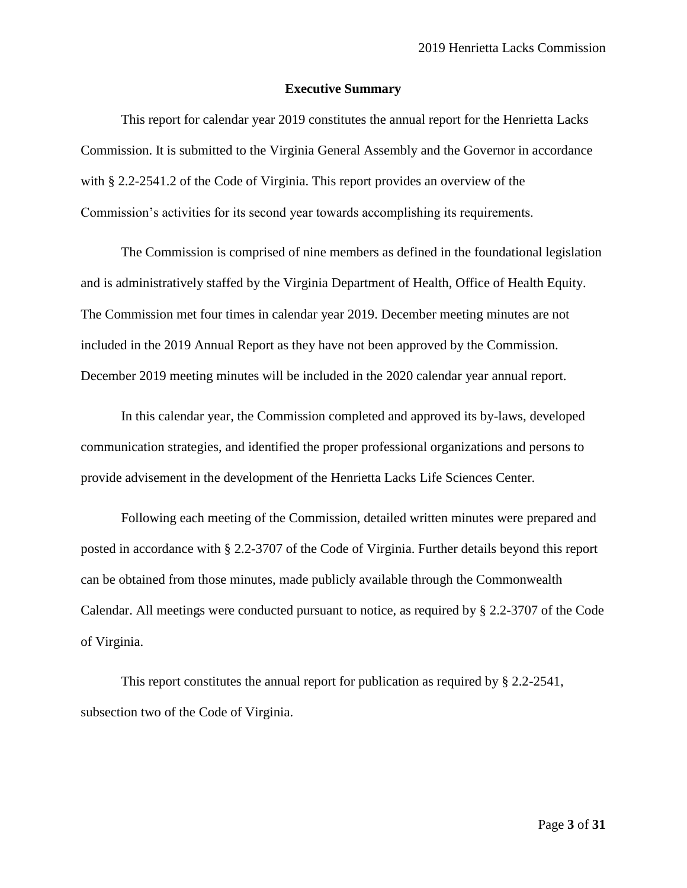#### **Executive Summary**

<span id="page-2-0"></span>This report for calendar year 2019 constitutes the annual report for the Henrietta Lacks Commission. It is submitted to the Virginia General Assembly and the Governor in accordance with § 2.2-2541.2 of the Code of Virginia. This report provides an overview of the Commission's activities for its second year towards accomplishing its requirements.

The Commission is comprised of nine members as defined in the foundational legislation and is administratively staffed by the Virginia Department of Health, Office of Health Equity. The Commission met four times in calendar year 2019. December meeting minutes are not included in the 2019 Annual Report as they have not been approved by the Commission. December 2019 meeting minutes will be included in the 2020 calendar year annual report.

In this calendar year, the Commission completed and approved its by-laws, developed communication strategies, and identified the proper professional organizations and persons to provide advisement in the development of the Henrietta Lacks Life Sciences Center.

Following each meeting of the Commission, detailed written minutes were prepared and posted in accordance with § 2.2-3707 of the Code of Virginia. Further details beyond this report can be obtained from those minutes, made publicly available through the Commonwealth Calendar. All meetings were conducted pursuant to notice, as required by § 2.2-3707 of the Code of Virginia.

This report constitutes the annual report for publication as required by § 2.2-2541, subsection two of the Code of Virginia.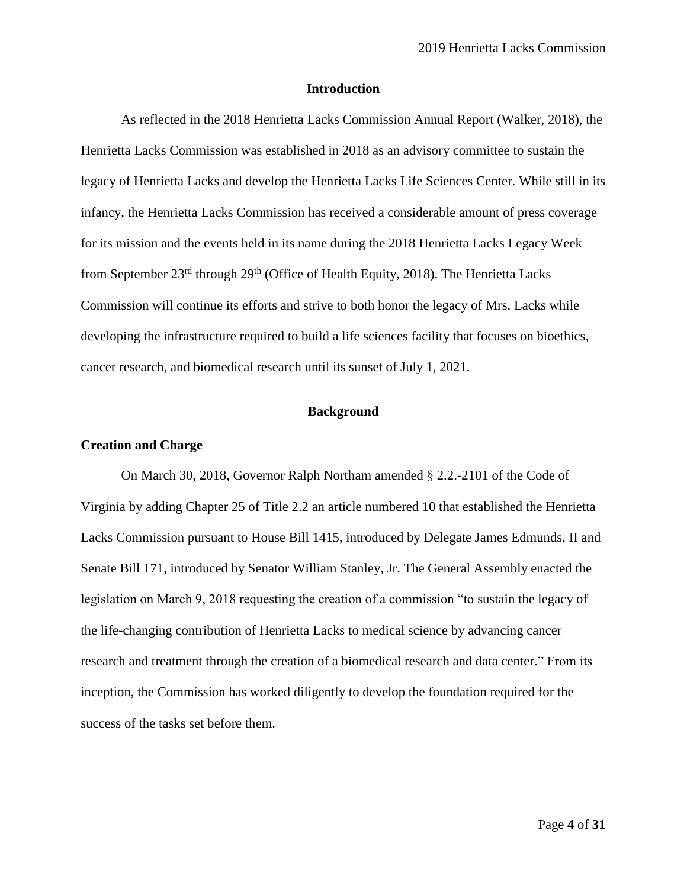#### **Introduction**

<span id="page-3-0"></span>As reflected in the 2018 Henrietta Lacks Commission Annual Report (Walker, 2018), the Henrietta Lacks Commission was established in 2018 as an advisory committee to sustain the legacy of Henrietta Lacks and develop the Henrietta Lacks Life Sciences Center. While still in its infancy, the Henrietta Lacks Commission has received a considerable amount of press coverage for its mission and the events held in its name during the 2018 Henrietta Lacks Legacy Week from September 23<sup>rd</sup> through 29<sup>th</sup> (Office of Health Equity, 2018). The Henrietta Lacks Commission will continue its efforts and strive to both honor the legacy of Mrs. Lacks while developing the infrastructure required to build a life sciences facility that focuses on bioethics, cancer research, and biomedical research until its sunset of July 1, 2021.

#### **Background**

#### <span id="page-3-2"></span><span id="page-3-1"></span>**Creation and Charge**

On March 30, 2018, Governor Ralph Northam amended § 2.2.-2101 of the Code of Virginia by adding Chapter 25 of Title 2.2 an article numbered 10 that established the Henrietta Lacks Commission pursuant to House Bill 1415, introduced by Delegate James Edmunds, II and Senate Bill 171, introduced by Senator William Stanley, Jr. The General Assembly enacted the legislation on March 9, 2018 requesting the creation of a commission "to sustain the legacy of the life-changing contribution of Henrietta Lacks to medical science by advancing cancer research and treatment through the creation of a biomedical research and data center." From its inception, the Commission has worked diligently to develop the foundation required for the success of the tasks set before them.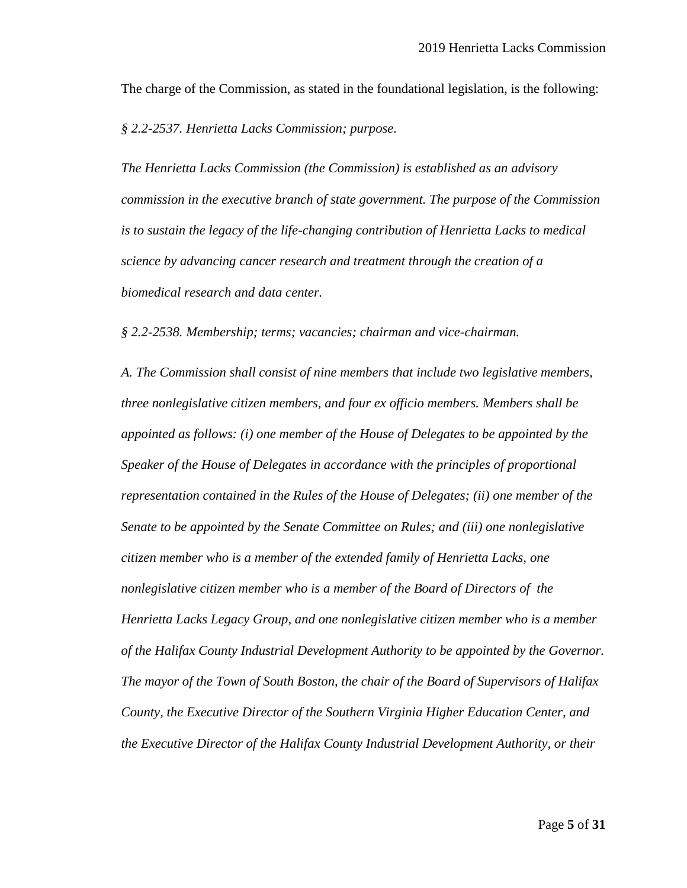The charge of the Commission, as stated in the foundational legislation, is the following:

*§ 2.2-2537. Henrietta Lacks Commission; purpose.*

*The Henrietta Lacks Commission (the Commission) is established as an advisory commission in the executive branch of state government. The purpose of the Commission is to sustain the legacy of the life-changing contribution of Henrietta Lacks to medical science by advancing cancer research and treatment through the creation of a biomedical research and data center.*

*§ 2.2-2538. Membership; terms; vacancies; chairman and vice-chairman.*

*A. The Commission shall consist of nine members that include two legislative members, three nonlegislative citizen members, and four ex officio members. Members shall be appointed as follows: (i) one member of the House of Delegates to be appointed by the Speaker of the House of Delegates in accordance with the principles of proportional representation contained in the Rules of the House of Delegates; (ii) one member of the Senate to be appointed by the Senate Committee on Rules; and (iii) one nonlegislative citizen member who is a member of the extended family of Henrietta Lacks, one nonlegislative citizen member who is a member of the Board of Directors of the Henrietta Lacks Legacy Group, and one nonlegislative citizen member who is a member of the Halifax County Industrial Development Authority to be appointed by the Governor. The mayor of the Town of South Boston, the chair of the Board of Supervisors of Halifax County, the Executive Director of the Southern Virginia Higher Education Center, and the Executive Director of the Halifax County Industrial Development Authority, or their*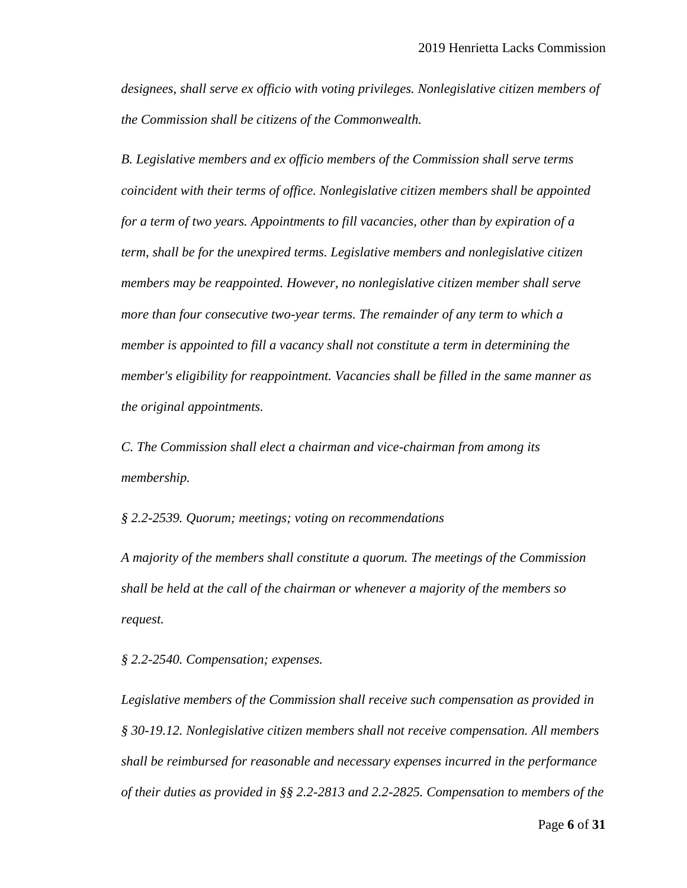*designees, shall serve ex officio with voting privileges. Nonlegislative citizen members of the Commission shall be citizens of the Commonwealth.*

*B. Legislative members and ex officio members of the Commission shall serve terms coincident with their terms of office. Nonlegislative citizen members shall be appointed for a term of two years. Appointments to fill vacancies, other than by expiration of a term, shall be for the unexpired terms. Legislative members and nonlegislative citizen members may be reappointed. However, no nonlegislative citizen member shall serve more than four consecutive two-year terms. The remainder of any term to which a member is appointed to fill a vacancy shall not constitute a term in determining the member's eligibility for reappointment. Vacancies shall be filled in the same manner as the original appointments.*

*C. The Commission shall elect a chairman and vice-chairman from among its membership.*

*§ 2.2-2539. Quorum; meetings; voting on recommendations*

*A majority of the members shall constitute a quorum. The meetings of the Commission shall be held at the call of the chairman or whenever a majority of the members so request.*

*§ 2.2-2540. Compensation; expenses.*

*Legislative members of the Commission shall receive such compensation as provided in § 30-19.12. Nonlegislative citizen members shall not receive compensation. All members shall be reimbursed for reasonable and necessary expenses incurred in the performance of their duties as provided in §§ 2.2-2813 and 2.2-2825. Compensation to members of the*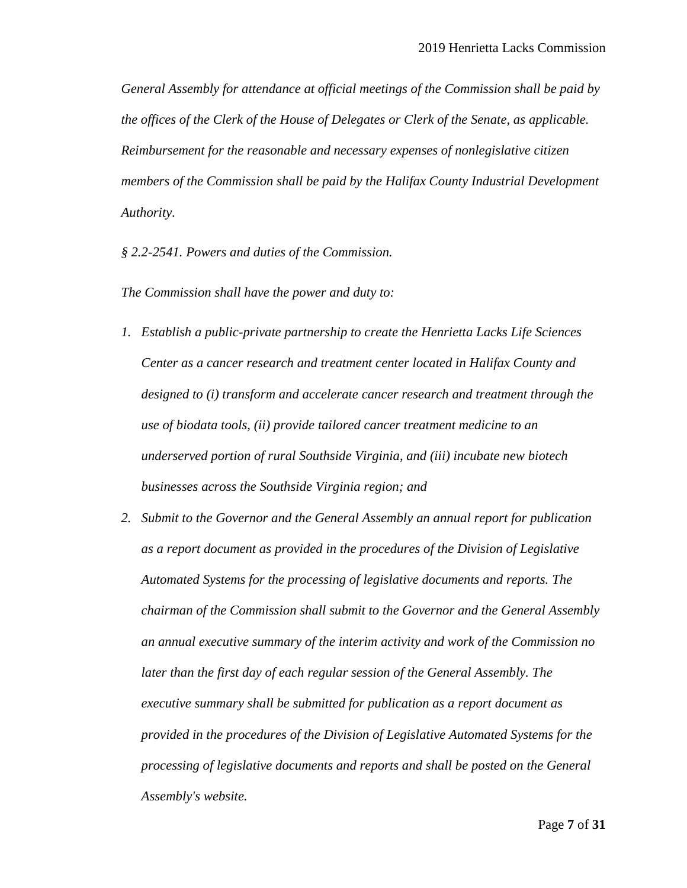*General Assembly for attendance at official meetings of the Commission shall be paid by the offices of the Clerk of the House of Delegates or Clerk of the Senate, as applicable. Reimbursement for the reasonable and necessary expenses of nonlegislative citizen members of the Commission shall be paid by the Halifax County Industrial Development Authority.*

*§ 2.2-2541. Powers and duties of the Commission.*

*The Commission shall have the power and duty to:*

- *1. Establish a public-private partnership to create the Henrietta Lacks Life Sciences Center as a cancer research and treatment center located in Halifax County and designed to (i) transform and accelerate cancer research and treatment through the use of biodata tools, (ii) provide tailored cancer treatment medicine to an underserved portion of rural Southside Virginia, and (iii) incubate new biotech businesses across the Southside Virginia region; and*
- *2. Submit to the Governor and the General Assembly an annual report for publication as a report document as provided in the procedures of the Division of Legislative Automated Systems for the processing of legislative documents and reports. The chairman of the Commission shall submit to the Governor and the General Assembly an annual executive summary of the interim activity and work of the Commission no later than the first day of each regular session of the General Assembly. The executive summary shall be submitted for publication as a report document as provided in the procedures of the Division of Legislative Automated Systems for the processing of legislative documents and reports and shall be posted on the General Assembly's website.*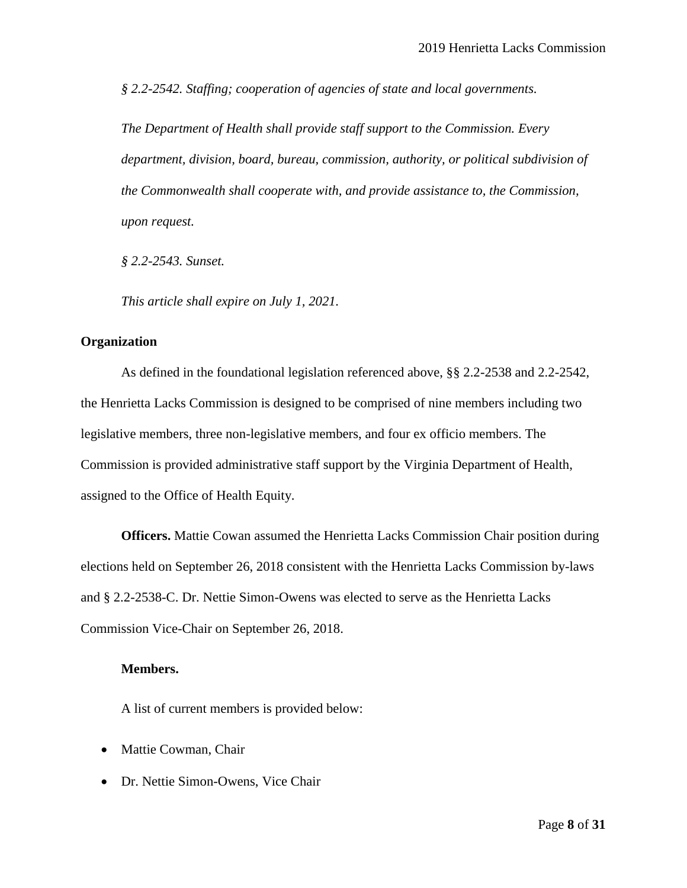*§ 2.2-2542. Staffing; cooperation of agencies of state and local governments.*

*The Department of Health shall provide staff support to the Commission. Every department, division, board, bureau, commission, authority, or political subdivision of the Commonwealth shall cooperate with, and provide assistance to, the Commission, upon request.*

*§ 2.2-2543. Sunset.*

*This article shall expire on July 1, 2021.*

#### <span id="page-7-0"></span>**Organization**

As defined in the foundational legislation referenced above, §§ 2.2-2538 and 2.2-2542, the Henrietta Lacks Commission is designed to be comprised of nine members including two legislative members, three non-legislative members, and four ex officio members. The Commission is provided administrative staff support by the Virginia Department of Health, assigned to the Office of Health Equity.

<span id="page-7-1"></span>**Officers.** Mattie Cowan assumed the Henrietta Lacks Commission Chair position during elections held on September 26, 2018 consistent with the Henrietta Lacks Commission by-laws and § 2.2-2538-C. Dr. Nettie Simon-Owens was elected to serve as the Henrietta Lacks Commission Vice-Chair on September 26, 2018.

#### <span id="page-7-2"></span>**Members.**

A list of current members is provided below:

- Mattie Cowman, Chair
- Dr. Nettie Simon-Owens, Vice Chair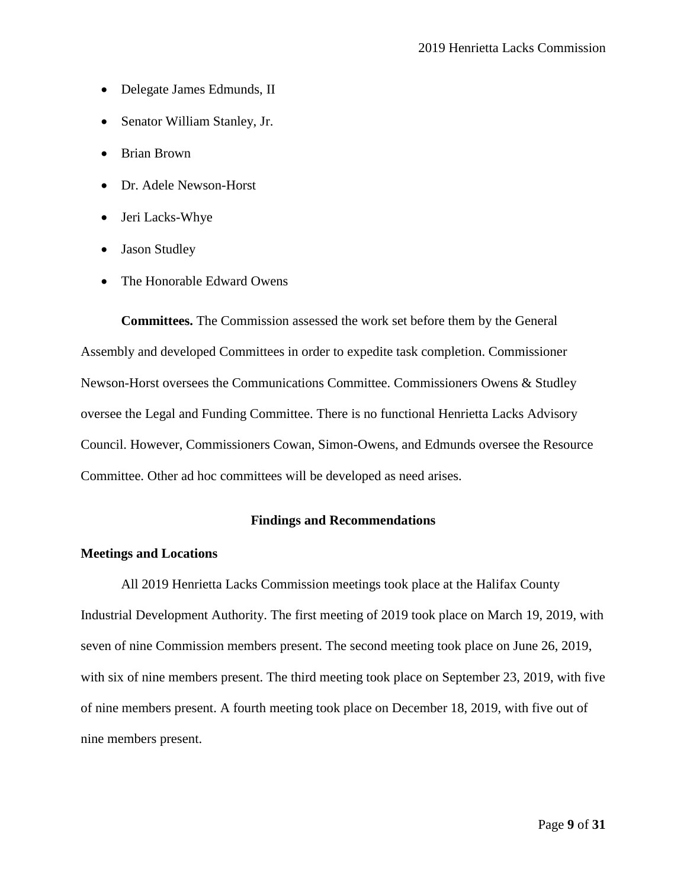- Delegate James Edmunds, II
- Senator William Stanley, Jr.
- Brian Brown
- Dr. Adele Newson-Horst
- Jeri Lacks-Whye
- Jason Studley
- The Honorable Edward Owens

<span id="page-8-0"></span>**Committees.** The Commission assessed the work set before them by the General Assembly and developed Committees in order to expedite task completion. Commissioner Newson-Horst oversees the Communications Committee. Commissioners Owens & Studley oversee the Legal and Funding Committee. There is no functional Henrietta Lacks Advisory Council. However, Commissioners Cowan, Simon-Owens, and Edmunds oversee the Resource Committee. Other ad hoc committees will be developed as need arises.

#### **Findings and Recommendations**

#### <span id="page-8-2"></span><span id="page-8-1"></span>**Meetings and Locations**

All 2019 Henrietta Lacks Commission meetings took place at the Halifax County Industrial Development Authority. The first meeting of 2019 took place on March 19, 2019, with seven of nine Commission members present. The second meeting took place on June 26, 2019, with six of nine members present. The third meeting took place on September 23, 2019, with five of nine members present. A fourth meeting took place on December 18, 2019, with five out of nine members present.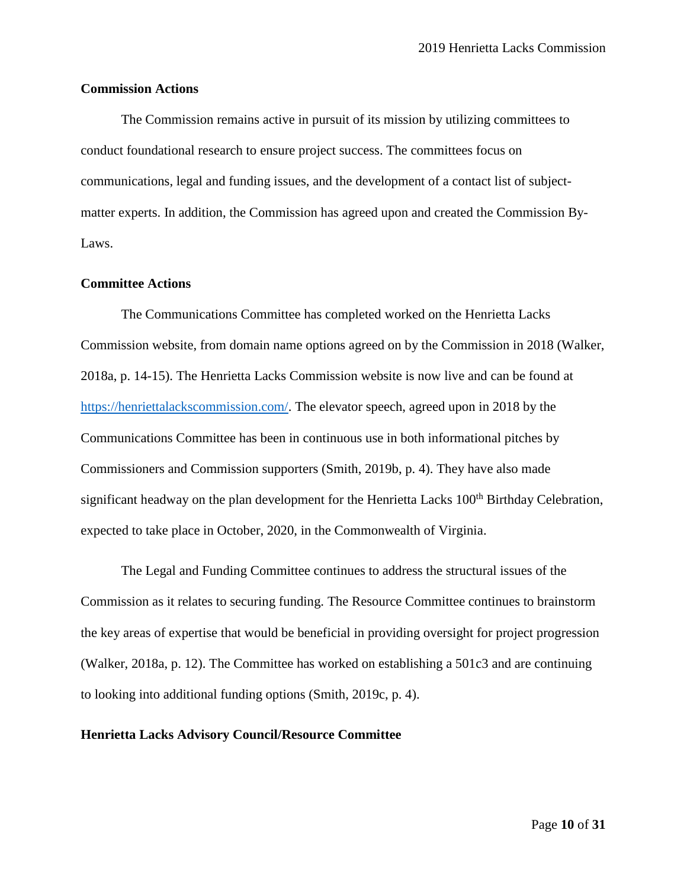#### <span id="page-9-0"></span>**Commission Actions**

The Commission remains active in pursuit of its mission by utilizing committees to conduct foundational research to ensure project success. The committees focus on communications, legal and funding issues, and the development of a contact list of subjectmatter experts. In addition, the Commission has agreed upon and created the Commission By-Laws.

#### <span id="page-9-1"></span>**Committee Actions**

The Communications Committee has completed worked on the Henrietta Lacks Commission website, from domain name options agreed on by the Commission in 2018 (Walker, 2018a, p. 14-15). The Henrietta Lacks Commission website is now live and can be found at [https://henriettalackscommission.com/.](https://henriettalackscommission.com/) The elevator speech, agreed upon in 2018 by the Communications Committee has been in continuous use in both informational pitches by Commissioners and Commission supporters (Smith, 2019b, p. 4). They have also made significant headway on the plan development for the Henrietta Lacks 100<sup>th</sup> Birthday Celebration, expected to take place in October, 2020, in the Commonwealth of Virginia.

The Legal and Funding Committee continues to address the structural issues of the Commission as it relates to securing funding. The Resource Committee continues to brainstorm the key areas of expertise that would be beneficial in providing oversight for project progression (Walker, 2018a, p. 12). The Committee has worked on establishing a 501c3 and are continuing to looking into additional funding options (Smith, 2019c, p. 4).

#### **Henrietta Lacks Advisory Council/Resource Committee**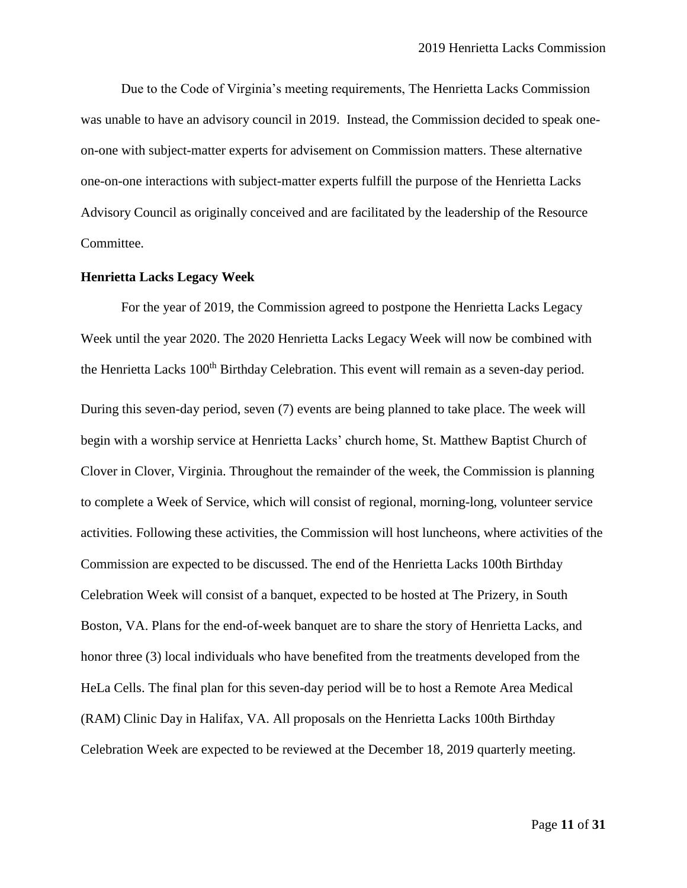Due to the Code of Virginia's meeting requirements, The Henrietta Lacks Commission was unable to have an advisory council in 2019. Instead, the Commission decided to speak oneon-one with subject-matter experts for advisement on Commission matters. These alternative one-on-one interactions with subject-matter experts fulfill the purpose of the Henrietta Lacks Advisory Council as originally conceived and are facilitated by the leadership of the Resource Committee.

#### <span id="page-10-0"></span>**Henrietta Lacks Legacy Week**

For the year of 2019, the Commission agreed to postpone the Henrietta Lacks Legacy Week until the year 2020. The 2020 Henrietta Lacks Legacy Week will now be combined with the Henrietta Lacks 100<sup>th</sup> Birthday Celebration. This event will remain as a seven-day period. During this seven-day period, seven (7) events are being planned to take place. The week will begin with a worship service at Henrietta Lacks' church home, St. Matthew Baptist Church of Clover in Clover, Virginia. Throughout the remainder of the week, the Commission is planning to complete a Week of Service, which will consist of regional, morning-long, volunteer service activities. Following these activities, the Commission will host luncheons, where activities of the Commission are expected to be discussed. The end of the Henrietta Lacks 100th Birthday Celebration Week will consist of a banquet, expected to be hosted at The Prizery, in South Boston, VA. Plans for the end-of-week banquet are to share the story of Henrietta Lacks, and honor three (3) local individuals who have benefited from the treatments developed from the HeLa Cells. The final plan for this seven-day period will be to host a Remote Area Medical (RAM) Clinic Day in Halifax, VA. All proposals on the Henrietta Lacks 100th Birthday Celebration Week are expected to be reviewed at the December 18, 2019 quarterly meeting.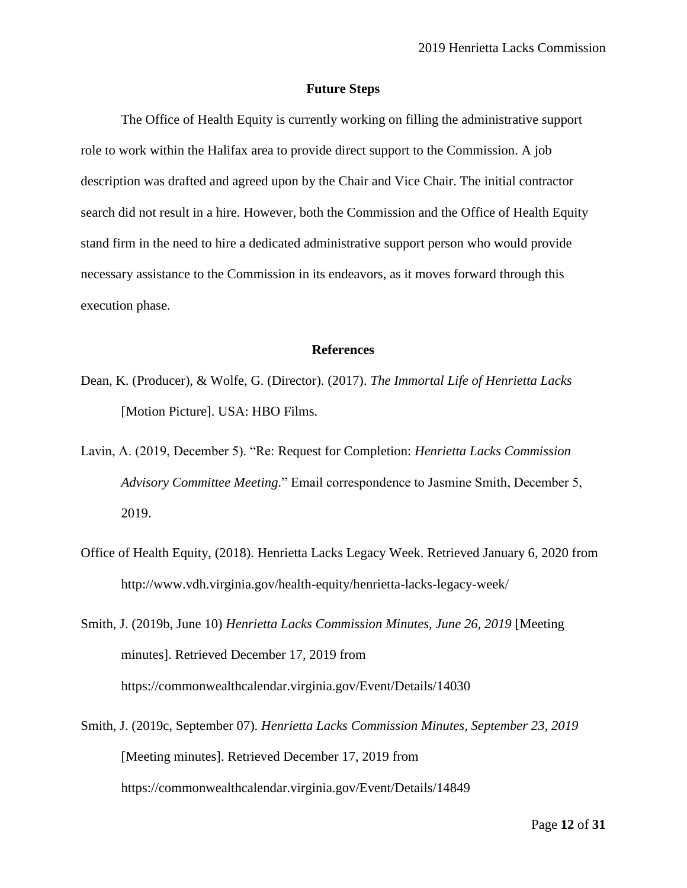#### **Future Steps**

<span id="page-11-0"></span>The Office of Health Equity is currently working on filling the administrative support role to work within the Halifax area to provide direct support to the Commission. A job description was drafted and agreed upon by the Chair and Vice Chair. The initial contractor search did not result in a hire. However, both the Commission and the Office of Health Equity stand firm in the need to hire a dedicated administrative support person who would provide necessary assistance to the Commission in its endeavors, as it moves forward through this execution phase.

#### **References**

- <span id="page-11-1"></span>Dean, K. (Producer), & Wolfe, G. (Director). (2017). *The Immortal Life of Henrietta Lacks* [Motion Picture]. USA: HBO Films.
- Lavin, A. (2019, December 5). "Re: Request for Completion: *Henrietta Lacks Commission Advisory Committee Meeting.*" Email correspondence to Jasmine Smith, December 5, 2019.
- Office of Health Equity, (2018). Henrietta Lacks Legacy Week. Retrieved January 6, 2020 from http://www.vdh.virginia.gov/health-equity/henrietta-lacks-legacy-week/
- Smith, J. (2019b, June 10) *Henrietta Lacks Commission Minutes, June 26, 2019* [Meeting minutes]. Retrieved December 17, 2019 from https://commonwealthcalendar.virginia.gov/Event/Details/14030
- Smith, J. (2019c, September 07). *Henrietta Lacks Commission Minutes, September 23, 2019*  [Meeting minutes]. Retrieved December 17, 2019 from https://commonwealthcalendar.virginia.gov/Event/Details/14849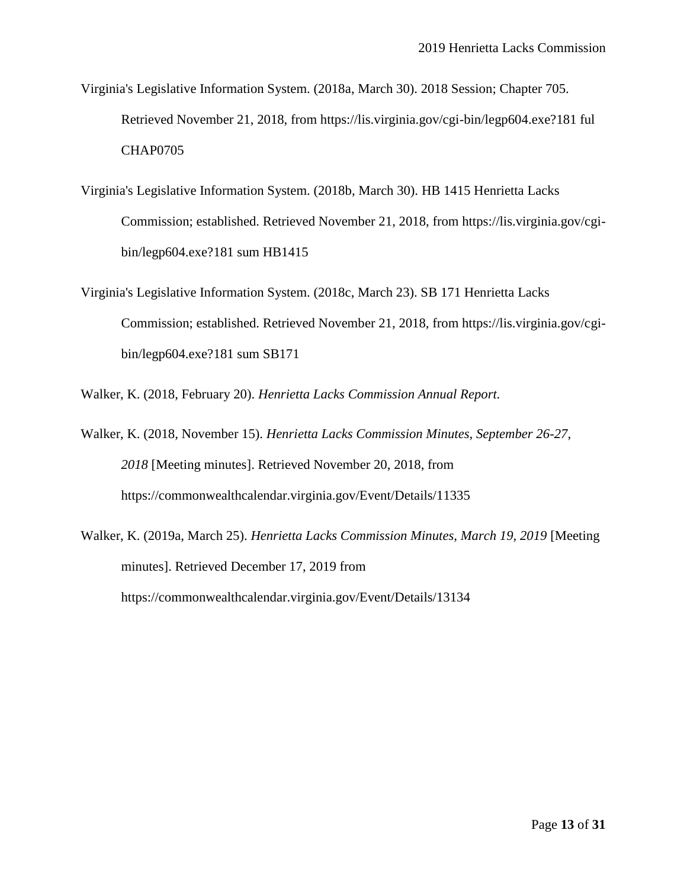- Virginia's Legislative Information System. (2018a, March 30). 2018 Session; Chapter 705. Retrieved November 21, 2018, from https://lis.virginia.gov/cgi-bin/legp604.exe?181 ful CHAP0705
- Virginia's Legislative Information System. (2018b, March 30). HB 1415 Henrietta Lacks Commission; established. Retrieved November 21, 2018, from https://lis.virginia.gov/cgibin/legp604.exe?181 sum HB1415
- Virginia's Legislative Information System. (2018c, March 23). SB 171 Henrietta Lacks Commission; established. Retrieved November 21, 2018, from https://lis.virginia.gov/cgibin/legp604.exe?181 sum SB171

Walker, K. (2018, February 20). *Henrietta Lacks Commission Annual Report.*

- Walker, K. (2018, November 15). *Henrietta Lacks Commission Minutes, September 26-27, 2018* [Meeting minutes]. Retrieved November 20, 2018, from https://commonwealthcalendar.virginia.gov/Event/Details/11335
- <span id="page-12-0"></span>Walker, K. (2019a, March 25). *Henrietta Lacks Commission Minutes, March 19, 2019* [Meeting minutes]. Retrieved December 17, 2019 from https://commonwealthcalendar.virginia.gov/Event/Details/13134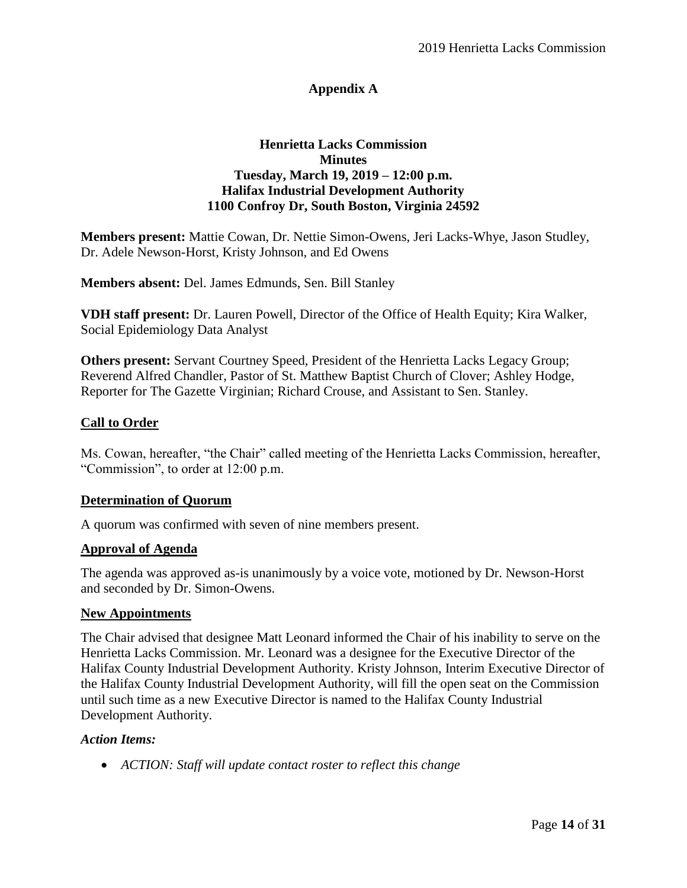## **Appendix A**

#### **Henrietta Lacks Commission Minutes Tuesday, March 19, 2019 – 12:00 p.m. Halifax Industrial Development Authority 1100 Confroy Dr, South Boston, Virginia 24592**

**Members present:** Mattie Cowan, Dr. Nettie Simon-Owens, Jeri Lacks-Whye, Jason Studley, Dr. Adele Newson-Horst, Kristy Johnson, and Ed Owens

**Members absent:** Del. James Edmunds, Sen. Bill Stanley

**VDH staff present:** Dr. Lauren Powell, Director of the Office of Health Equity; Kira Walker, Social Epidemiology Data Analyst

**Others present:** Servant Courtney Speed, President of the Henrietta Lacks Legacy Group; Reverend Alfred Chandler, Pastor of St. Matthew Baptist Church of Clover; Ashley Hodge, Reporter for The Gazette Virginian; Richard Crouse, and Assistant to Sen. Stanley.

#### **Call to Order**

Ms. Cowan, hereafter, "the Chair" called meeting of the Henrietta Lacks Commission, hereafter, "Commission", to order at 12:00 p.m.

#### **Determination of Quorum**

A quorum was confirmed with seven of nine members present.

#### **Approval of Agenda**

The agenda was approved as-is unanimously by a voice vote, motioned by Dr. Newson-Horst and seconded by Dr. Simon-Owens.

#### **New Appointments**

The Chair advised that designee Matt Leonard informed the Chair of his inability to serve on the Henrietta Lacks Commission. Mr. Leonard was a designee for the Executive Director of the Halifax County Industrial Development Authority. Kristy Johnson, Interim Executive Director of the Halifax County Industrial Development Authority, will fill the open seat on the Commission until such time as a new Executive Director is named to the Halifax County Industrial Development Authority.

#### *Action Items:*

*ACTION: Staff will update contact roster to reflect this change*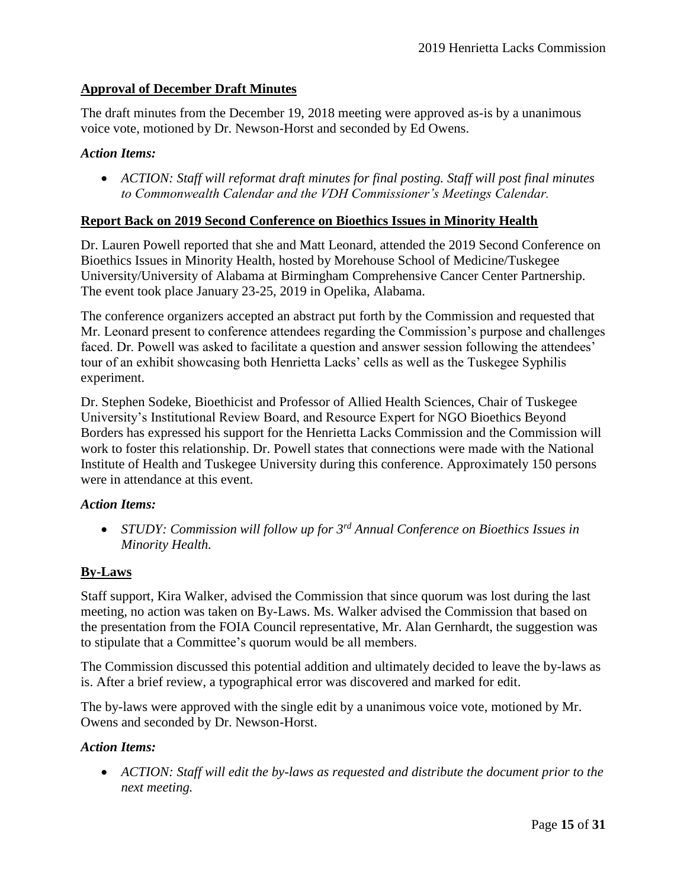#### **Approval of December Draft Minutes**

The draft minutes from the December 19, 2018 meeting were approved as-is by a unanimous voice vote, motioned by Dr. Newson-Horst and seconded by Ed Owens.

#### *Action Items:*

 *ACTION: Staff will reformat draft minutes for final posting. Staff will post final minutes to Commonwealth Calendar and the VDH Commissioner's Meetings Calendar.* 

#### **Report Back on 2019 Second Conference on Bioethics Issues in Minority Health**

Dr. Lauren Powell reported that she and Matt Leonard, attended the 2019 Second Conference on Bioethics Issues in Minority Health, hosted by Morehouse School of Medicine/Tuskegee University/University of Alabama at Birmingham Comprehensive Cancer Center Partnership. The event took place January 23-25, 2019 in Opelika, Alabama.

The conference organizers accepted an abstract put forth by the Commission and requested that Mr. Leonard present to conference attendees regarding the Commission's purpose and challenges faced. Dr. Powell was asked to facilitate a question and answer session following the attendees' tour of an exhibit showcasing both Henrietta Lacks' cells as well as the Tuskegee Syphilis experiment.

Dr. Stephen Sodeke, Bioethicist and Professor of Allied Health Sciences, Chair of Tuskegee University's Institutional Review Board, and Resource Expert for NGO Bioethics Beyond Borders has expressed his support for the Henrietta Lacks Commission and the Commission will work to foster this relationship. Dr. Powell states that connections were made with the National Institute of Health and Tuskegee University during this conference. Approximately 150 persons were in attendance at this event.

#### *Action Items:*

 *STUDY: Commission will follow up for 3rd Annual Conference on Bioethics Issues in Minority Health.*

#### **By-Laws**

Staff support, Kira Walker, advised the Commission that since quorum was lost during the last meeting, no action was taken on By-Laws. Ms. Walker advised the Commission that based on the presentation from the FOIA Council representative, Mr. Alan Gernhardt, the suggestion was to stipulate that a Committee's quorum would be all members.

The Commission discussed this potential addition and ultimately decided to leave the by-laws as is. After a brief review, a typographical error was discovered and marked for edit.

The by-laws were approved with the single edit by a unanimous voice vote, motioned by Mr. Owens and seconded by Dr. Newson-Horst.

#### *Action Items:*

 *ACTION: Staff will edit the by-laws as requested and distribute the document prior to the next meeting.*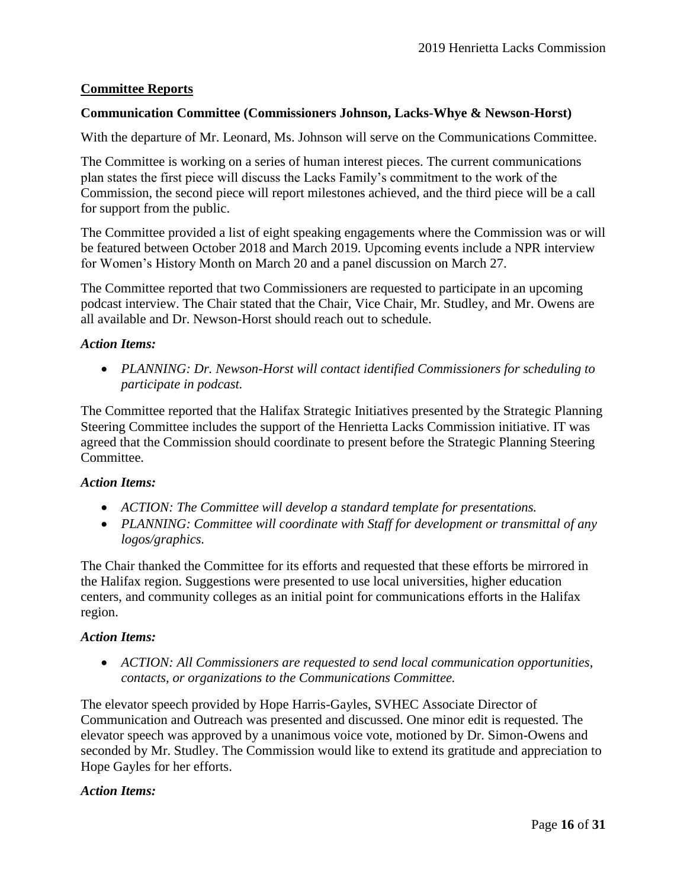#### **Committee Reports**

#### **Communication Committee (Commissioners Johnson, Lacks-Whye & Newson-Horst)**

With the departure of Mr. Leonard, Ms. Johnson will serve on the Communications Committee.

The Committee is working on a series of human interest pieces. The current communications plan states the first piece will discuss the Lacks Family's commitment to the work of the Commission, the second piece will report milestones achieved, and the third piece will be a call for support from the public.

The Committee provided a list of eight speaking engagements where the Commission was or will be featured between October 2018 and March 2019. Upcoming events include a NPR interview for Women's History Month on March 20 and a panel discussion on March 27.

The Committee reported that two Commissioners are requested to participate in an upcoming podcast interview. The Chair stated that the Chair, Vice Chair, Mr. Studley, and Mr. Owens are all available and Dr. Newson-Horst should reach out to schedule.

#### *Action Items:*

 *PLANNING: Dr. Newson-Horst will contact identified Commissioners for scheduling to participate in podcast.* 

The Committee reported that the Halifax Strategic Initiatives presented by the Strategic Planning Steering Committee includes the support of the Henrietta Lacks Commission initiative. IT was agreed that the Commission should coordinate to present before the Strategic Planning Steering Committee.

#### *Action Items:*

- *ACTION: The Committee will develop a standard template for presentations.*
- *PLANNING: Committee will coordinate with Staff for development or transmittal of any logos/graphics.*

The Chair thanked the Committee for its efforts and requested that these efforts be mirrored in the Halifax region. Suggestions were presented to use local universities, higher education centers, and community colleges as an initial point for communications efforts in the Halifax region.

#### *Action Items:*

 *ACTION: All Commissioners are requested to send local communication opportunities, contacts, or organizations to the Communications Committee.* 

The elevator speech provided by Hope Harris-Gayles, SVHEC Associate Director of Communication and Outreach was presented and discussed. One minor edit is requested. The elevator speech was approved by a unanimous voice vote, motioned by Dr. Simon-Owens and seconded by Mr. Studley. The Commission would like to extend its gratitude and appreciation to Hope Gayles for her efforts.

#### *Action Items:*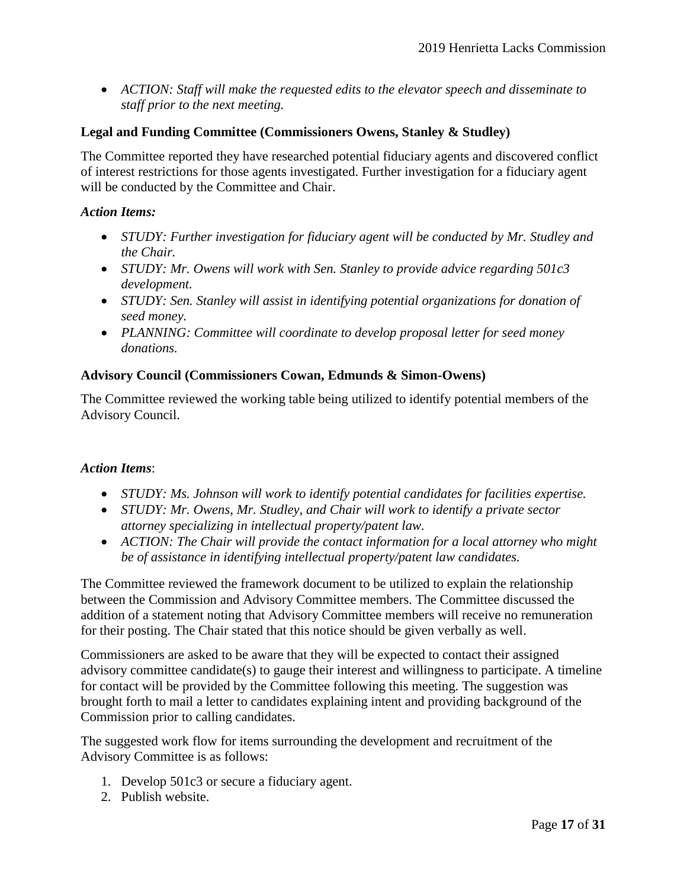*ACTION: Staff will make the requested edits to the elevator speech and disseminate to staff prior to the next meeting.* 

#### **Legal and Funding Committee (Commissioners Owens, Stanley & Studley)**

The Committee reported they have researched potential fiduciary agents and discovered conflict of interest restrictions for those agents investigated. Further investigation for a fiduciary agent will be conducted by the Committee and Chair.

#### *Action Items:*

- *STUDY: Further investigation for fiduciary agent will be conducted by Mr. Studley and the Chair.*
- *STUDY: Mr. Owens will work with Sen. Stanley to provide advice regarding 501c3 development.*
- *STUDY: Sen. Stanley will assist in identifying potential organizations for donation of seed money.*
- *PLANNING: Committee will coordinate to develop proposal letter for seed money donations.*

#### **Advisory Council (Commissioners Cowan, Edmunds & Simon-Owens)**

The Committee reviewed the working table being utilized to identify potential members of the Advisory Council.

#### *Action Items*:

- *STUDY: Ms. Johnson will work to identify potential candidates for facilities expertise.*
- *STUDY: Mr. Owens, Mr. Studley, and Chair will work to identify a private sector attorney specializing in intellectual property/patent law.*
- *ACTION: The Chair will provide the contact information for a local attorney who might be of assistance in identifying intellectual property/patent law candidates.*

The Committee reviewed the framework document to be utilized to explain the relationship between the Commission and Advisory Committee members. The Committee discussed the addition of a statement noting that Advisory Committee members will receive no remuneration for their posting. The Chair stated that this notice should be given verbally as well.

Commissioners are asked to be aware that they will be expected to contact their assigned advisory committee candidate(s) to gauge their interest and willingness to participate. A timeline for contact will be provided by the Committee following this meeting. The suggestion was brought forth to mail a letter to candidates explaining intent and providing background of the Commission prior to calling candidates.

The suggested work flow for items surrounding the development and recruitment of the Advisory Committee is as follows:

- 1. Develop 501c3 or secure a fiduciary agent.
- 2. Publish website.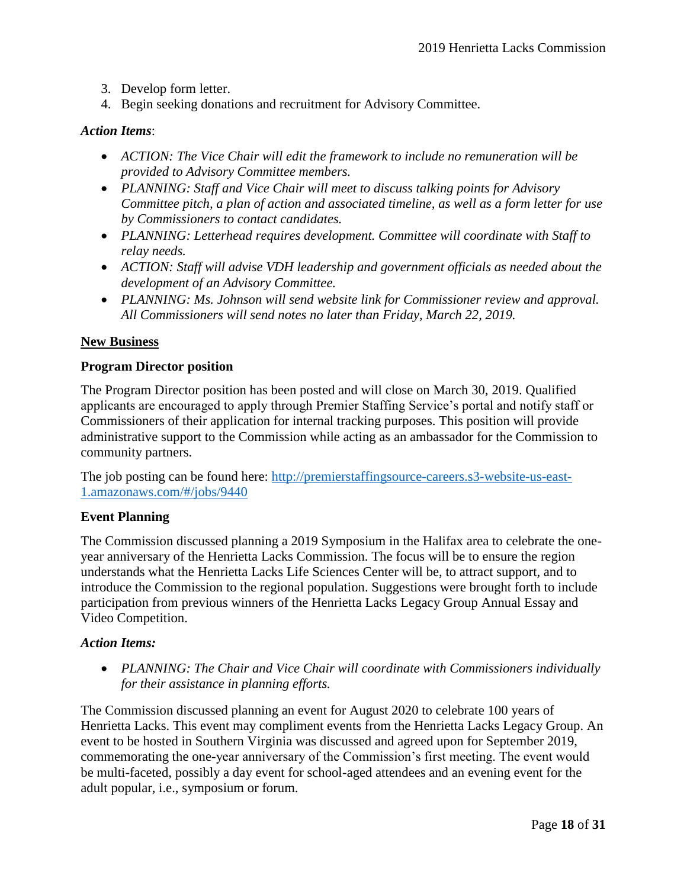- 3. Develop form letter.
- 4. Begin seeking donations and recruitment for Advisory Committee.

#### *Action Items*:

- *ACTION: The Vice Chair will edit the framework to include no remuneration will be provided to Advisory Committee members.*
- *PLANNING: Staff and Vice Chair will meet to discuss talking points for Advisory Committee pitch, a plan of action and associated timeline, as well as a form letter for use by Commissioners to contact candidates.*
- *PLANNING: Letterhead requires development. Committee will coordinate with Staff to relay needs.*
- *ACTION: Staff will advise VDH leadership and government officials as needed about the development of an Advisory Committee.*
- *PLANNING: Ms. Johnson will send website link for Commissioner review and approval. All Commissioners will send notes no later than Friday, March 22, 2019.*

#### **New Business**

#### **Program Director position**

The Program Director position has been posted and will close on March 30, 2019. Qualified applicants are encouraged to apply through Premier Staffing Service's portal and notify staff or Commissioners of their application for internal tracking purposes. This position will provide administrative support to the Commission while acting as an ambassador for the Commission to community partners.

The job posting can be found here: [http://premierstaffingsource-careers.s3-website-us-east-](http://premierstaffingsource-careers.s3-website-us-east-1.amazonaws.com/%23/jobs/9440)[1.amazonaws.com/#/jobs/9440](http://premierstaffingsource-careers.s3-website-us-east-1.amazonaws.com/%23/jobs/9440)

#### **Event Planning**

The Commission discussed planning a 2019 Symposium in the Halifax area to celebrate the oneyear anniversary of the Henrietta Lacks Commission. The focus will be to ensure the region understands what the Henrietta Lacks Life Sciences Center will be, to attract support, and to introduce the Commission to the regional population. Suggestions were brought forth to include participation from previous winners of the Henrietta Lacks Legacy Group Annual Essay and Video Competition.

#### *Action Items:*

 *PLANNING: The Chair and Vice Chair will coordinate with Commissioners individually for their assistance in planning efforts.* 

The Commission discussed planning an event for August 2020 to celebrate 100 years of Henrietta Lacks. This event may compliment events from the Henrietta Lacks Legacy Group. An event to be hosted in Southern Virginia was discussed and agreed upon for September 2019, commemorating the one-year anniversary of the Commission's first meeting. The event would be multi-faceted, possibly a day event for school-aged attendees and an evening event for the adult popular, i.e., symposium or forum.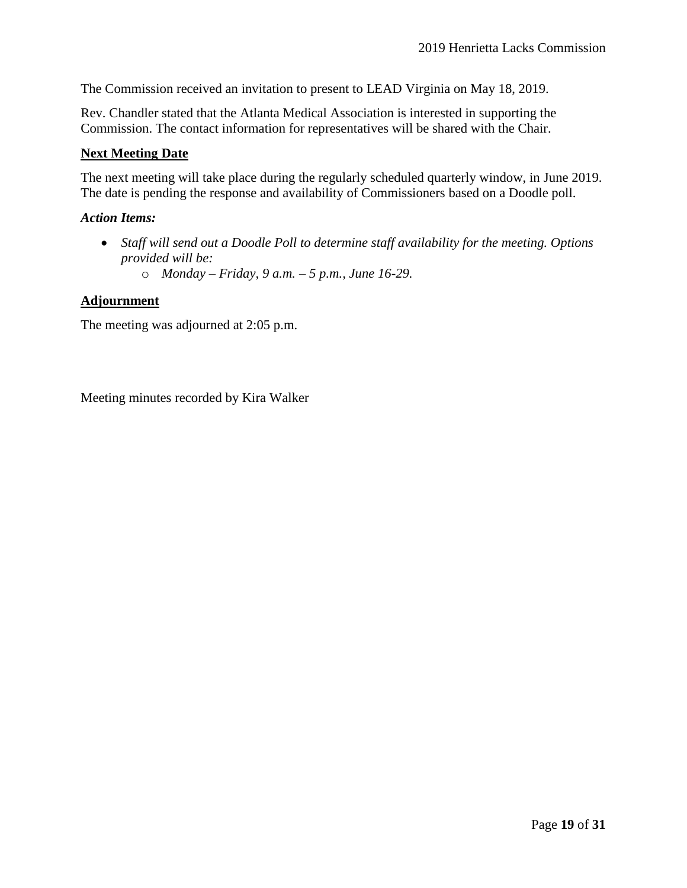The Commission received an invitation to present to LEAD Virginia on May 18, 2019.

Rev. Chandler stated that the Atlanta Medical Association is interested in supporting the Commission. The contact information for representatives will be shared with the Chair.

#### **Next Meeting Date**

The next meeting will take place during the regularly scheduled quarterly window, in June 2019. The date is pending the response and availability of Commissioners based on a Doodle poll.

#### *Action Items:*

- *Staff will send out a Doodle Poll to determine staff availability for the meeting. Options provided will be:*
	- o *Monday – Friday, 9 a.m. – 5 p.m., June 16-29.*

#### **Adjournment**

The meeting was adjourned at 2:05 p.m.

Meeting minutes recorded by Kira Walker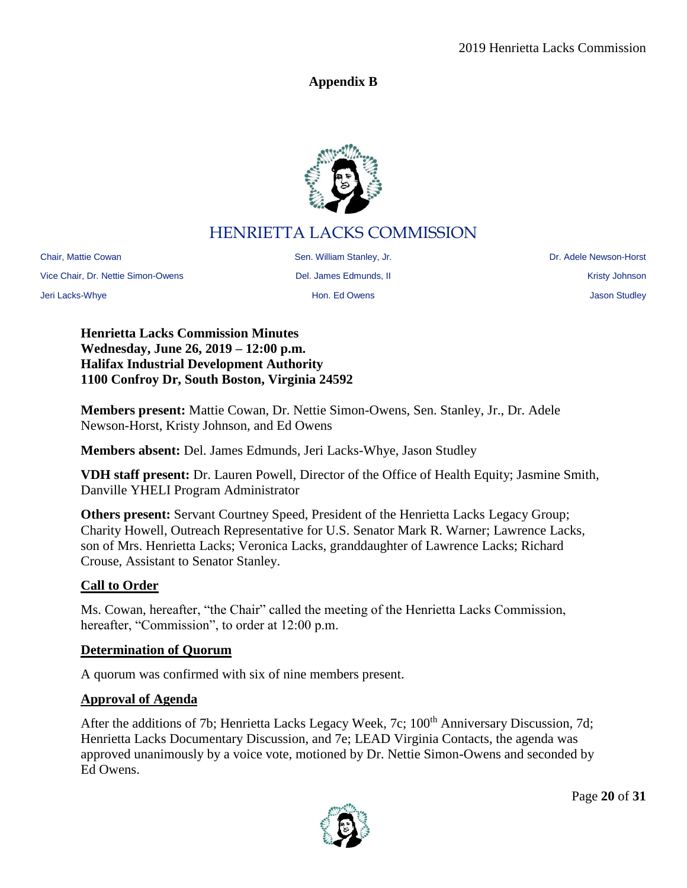# **Appendix B**



# HENRIETTA LACKS COMMISSION

<span id="page-19-0"></span>Chair, Mattie Cowan **Sen. Example 20 Sen. William Stanley, Jr.** Newson-Borston Chair, Mattie Cowan Stanley, Jr. 2011 Vice Chair, Dr. Nettie Simon-Owens **Del. James Edmunds, II** Netties Annual Mercian Chair, Nettie Simon-Owens and Del. James Edmunds, II

Jeri Lacks-Whye Hon. Ed Owens Jason Studley

**Henrietta Lacks Commission Minutes Wednesday, June 26, 2019 – 12:00 p.m. Halifax Industrial Development Authority 1100 Confroy Dr, South Boston, Virginia 24592**

**Members present:** Mattie Cowan, Dr. Nettie Simon-Owens, Sen. Stanley, Jr., Dr. Adele Newson-Horst, Kristy Johnson, and Ed Owens

**Members absent:** Del. James Edmunds, Jeri Lacks-Whye, Jason Studley

**VDH staff present:** Dr. Lauren Powell, Director of the Office of Health Equity; Jasmine Smith, Danville YHELI Program Administrator

**Others present:** Servant Courtney Speed, President of the Henrietta Lacks Legacy Group; Charity Howell, Outreach Representative for U.S. Senator Mark R. Warner; Lawrence Lacks, son of Mrs. Henrietta Lacks; Veronica Lacks, granddaughter of Lawrence Lacks; Richard Crouse, Assistant to Senator Stanley.

# **Call to Order**

Ms. Cowan, hereafter, "the Chair" called the meeting of the Henrietta Lacks Commission, hereafter, "Commission", to order at 12:00 p.m.

# **Determination of Quorum**

A quorum was confirmed with six of nine members present.

# **Approval of Agenda**

After the additions of 7b; Henrietta Lacks Legacy Week, 7c; 100<sup>th</sup> Anniversary Discussion, 7d; Henrietta Lacks Documentary Discussion, and 7e; LEAD Virginia Contacts, the agenda was approved unanimously by a voice vote, motioned by Dr. Nettie Simon-Owens and seconded by Ed Owens.

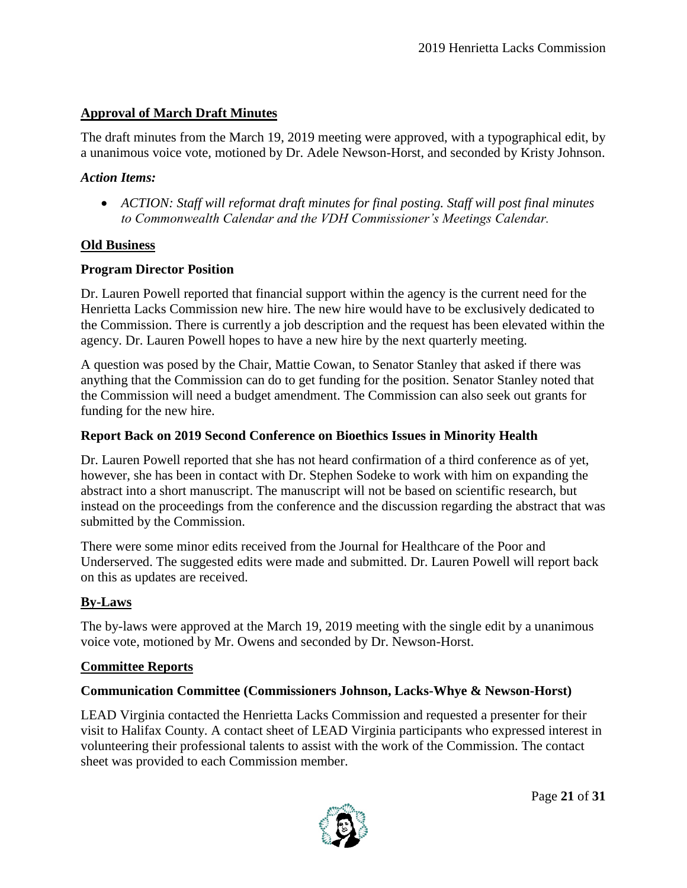# **Approval of March Draft Minutes**

The draft minutes from the March 19, 2019 meeting were approved, with a typographical edit, by a unanimous voice vote, motioned by Dr. Adele Newson-Horst, and seconded by Kristy Johnson.

#### *Action Items:*

 *ACTION: Staff will reformat draft minutes for final posting. Staff will post final minutes to Commonwealth Calendar and the VDH Commissioner's Meetings Calendar.* 

#### **Old Business**

#### **Program Director Position**

Dr. Lauren Powell reported that financial support within the agency is the current need for the Henrietta Lacks Commission new hire. The new hire would have to be exclusively dedicated to the Commission. There is currently a job description and the request has been elevated within the agency. Dr. Lauren Powell hopes to have a new hire by the next quarterly meeting.

A question was posed by the Chair, Mattie Cowan, to Senator Stanley that asked if there was anything that the Commission can do to get funding for the position. Senator Stanley noted that the Commission will need a budget amendment. The Commission can also seek out grants for funding for the new hire.

#### **Report Back on 2019 Second Conference on Bioethics Issues in Minority Health**

Dr. Lauren Powell reported that she has not heard confirmation of a third conference as of yet, however, she has been in contact with Dr. Stephen Sodeke to work with him on expanding the abstract into a short manuscript. The manuscript will not be based on scientific research, but instead on the proceedings from the conference and the discussion regarding the abstract that was submitted by the Commission.

There were some minor edits received from the Journal for Healthcare of the Poor and Underserved. The suggested edits were made and submitted. Dr. Lauren Powell will report back on this as updates are received.

### **By-Laws**

The by-laws were approved at the March 19, 2019 meeting with the single edit by a unanimous voice vote, motioned by Mr. Owens and seconded by Dr. Newson-Horst.

#### **Committee Reports**

### **Communication Committee (Commissioners Johnson, Lacks-Whye & Newson-Horst)**

LEAD Virginia contacted the Henrietta Lacks Commission and requested a presenter for their visit to Halifax County. A contact sheet of LEAD Virginia participants who expressed interest in volunteering their professional talents to assist with the work of the Commission. The contact sheet was provided to each Commission member.

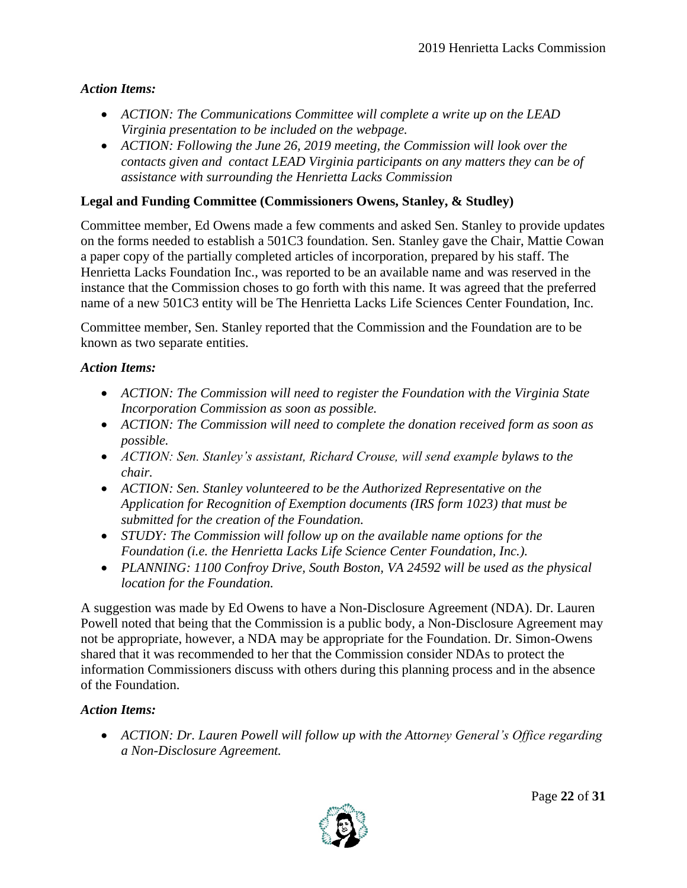### *Action Items:*

- *ACTION: The Communications Committee will complete a write up on the LEAD Virginia presentation to be included on the webpage.*
- *ACTION: Following the June 26, 2019 meeting, the Commission will look over the contacts given and contact LEAD Virginia participants on any matters they can be of assistance with surrounding the Henrietta Lacks Commission*

## **Legal and Funding Committee (Commissioners Owens, Stanley, & Studley)**

Committee member, Ed Owens made a few comments and asked Sen. Stanley to provide updates on the forms needed to establish a 501C3 foundation. Sen. Stanley gave the Chair, Mattie Cowan a paper copy of the partially completed articles of incorporation, prepared by his staff. The Henrietta Lacks Foundation Inc., was reported to be an available name and was reserved in the instance that the Commission choses to go forth with this name. It was agreed that the preferred name of a new 501C3 entity will be The Henrietta Lacks Life Sciences Center Foundation, Inc.

Committee member, Sen. Stanley reported that the Commission and the Foundation are to be known as two separate entities.

### *Action Items:*

- *ACTION: The Commission will need to register the Foundation with the Virginia State Incorporation Commission as soon as possible.*
- *ACTION: The Commission will need to complete the donation received form as soon as possible.*
- *ACTION: Sen. Stanley's assistant, Richard Crouse, will send example bylaws to the chair.*
- *ACTION: Sen. Stanley volunteered to be the Authorized Representative on the Application for Recognition of Exemption documents (IRS form 1023) that must be submitted for the creation of the Foundation.*
- *STUDY: The Commission will follow up on the available name options for the Foundation (i.e. the Henrietta Lacks Life Science Center Foundation, Inc.).*
- PLANNING: 1100 Confroy Drive, South Boston, VA 24592 will be used as the physical *location for the Foundation.*

A suggestion was made by Ed Owens to have a Non-Disclosure Agreement (NDA). Dr. Lauren Powell noted that being that the Commission is a public body, a Non-Disclosure Agreement may not be appropriate, however, a NDA may be appropriate for the Foundation. Dr. Simon-Owens shared that it was recommended to her that the Commission consider NDAs to protect the information Commissioners discuss with others during this planning process and in the absence of the Foundation.

# *Action Items:*

 *ACTION: Dr. Lauren Powell will follow up with the Attorney General's Office regarding a Non-Disclosure Agreement.*

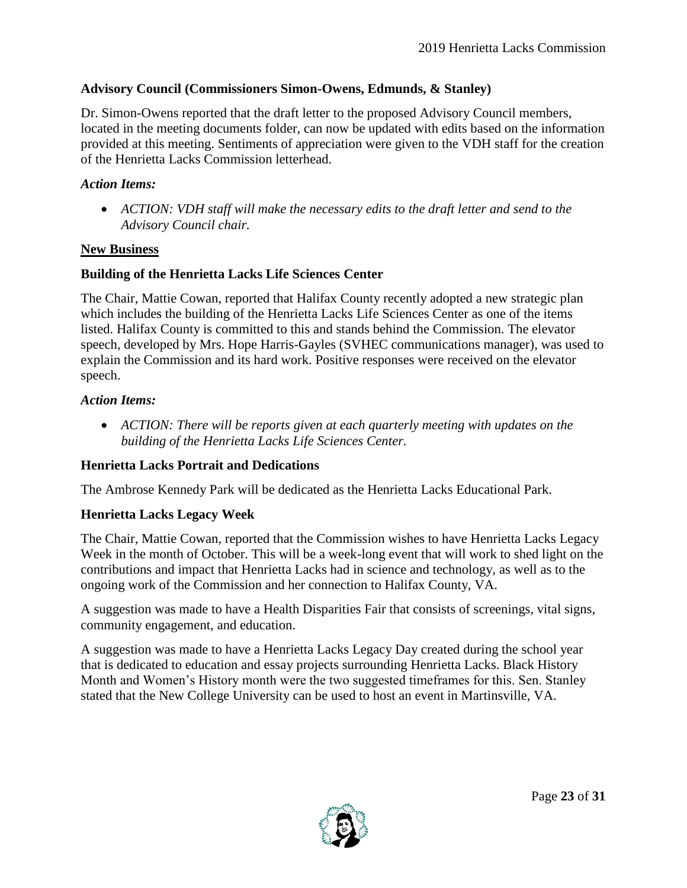## **Advisory Council (Commissioners Simon-Owens, Edmunds, & Stanley)**

Dr. Simon-Owens reported that the draft letter to the proposed Advisory Council members, located in the meeting documents folder, can now be updated with edits based on the information provided at this meeting. Sentiments of appreciation were given to the VDH staff for the creation of the Henrietta Lacks Commission letterhead.

### *Action Items:*

• ACTION: VDH staff will make the necessary edits to the draft letter and send to the *Advisory Council chair.*

# **New Business**

# **Building of the Henrietta Lacks Life Sciences Center**

The Chair, Mattie Cowan, reported that Halifax County recently adopted a new strategic plan which includes the building of the Henrietta Lacks Life Sciences Center as one of the items listed. Halifax County is committed to this and stands behind the Commission. The elevator speech, developed by Mrs. Hope Harris-Gayles (SVHEC communications manager), was used to explain the Commission and its hard work. Positive responses were received on the elevator speech.

# *Action Items:*

• ACTION: There will be reports given at each quarterly meeting with updates on the *building of the Henrietta Lacks Life Sciences Center.* 

# **Henrietta Lacks Portrait and Dedications**

The Ambrose Kennedy Park will be dedicated as the Henrietta Lacks Educational Park.

# **Henrietta Lacks Legacy Week**

The Chair, Mattie Cowan, reported that the Commission wishes to have Henrietta Lacks Legacy Week in the month of October. This will be a week-long event that will work to shed light on the contributions and impact that Henrietta Lacks had in science and technology, as well as to the ongoing work of the Commission and her connection to Halifax County, VA.

A suggestion was made to have a Health Disparities Fair that consists of screenings, vital signs, community engagement, and education.

A suggestion was made to have a Henrietta Lacks Legacy Day created during the school year that is dedicated to education and essay projects surrounding Henrietta Lacks. Black History Month and Women's History month were the two suggested timeframes for this. Sen. Stanley stated that the New College University can be used to host an event in Martinsville, VA.

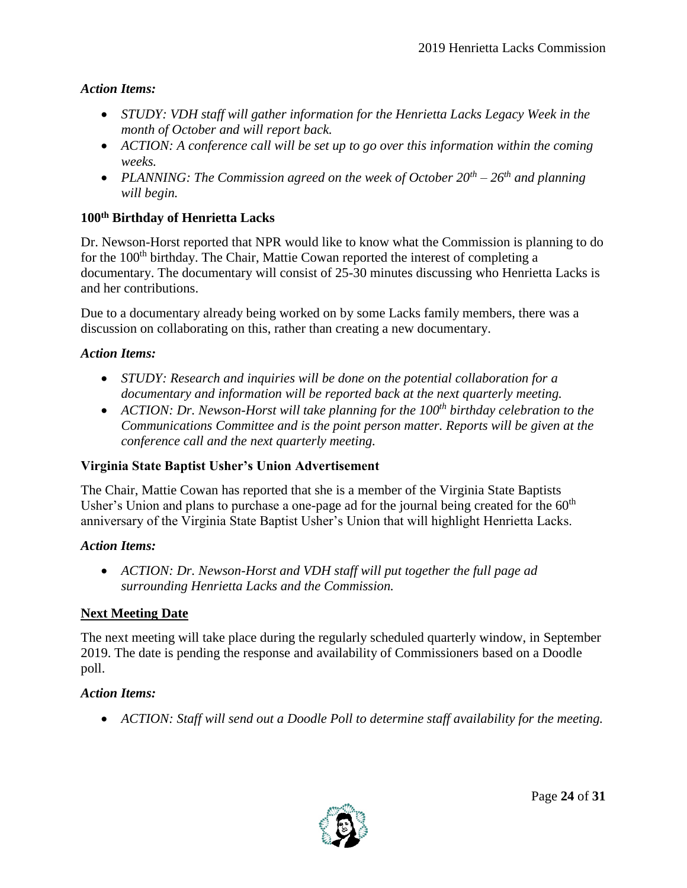### *Action Items:*

- *STUDY: VDH staff will gather information for the Henrietta Lacks Legacy Week in the month of October and will report back.*
- *ACTION: A conference call will be set up to go over this information within the coming weeks.*
- *PLANNING: The Commission agreed on the week of October 20th – 26th and planning will begin.*

# **100th Birthday of Henrietta Lacks**

Dr. Newson-Horst reported that NPR would like to know what the Commission is planning to do for the 100<sup>th</sup> birthday. The Chair, Mattie Cowan reported the interest of completing a documentary. The documentary will consist of 25-30 minutes discussing who Henrietta Lacks is and her contributions.

Due to a documentary already being worked on by some Lacks family members, there was a discussion on collaborating on this, rather than creating a new documentary.

### *Action Items:*

- *STUDY: Research and inquiries will be done on the potential collaboration for a documentary and information will be reported back at the next quarterly meeting.*
- *ACTION: Dr. Newson-Horst will take planning for the 100th birthday celebration to the Communications Committee and is the point person matter. Reports will be given at the conference call and the next quarterly meeting.*

# **Virginia State Baptist Usher's Union Advertisement**

The Chair, Mattie Cowan has reported that she is a member of the Virginia State Baptists Usher's Union and plans to purchase a one-page ad for the journal being created for the  $60<sup>th</sup>$ anniversary of the Virginia State Baptist Usher's Union that will highlight Henrietta Lacks.

### *Action Items:*

 *ACTION: Dr. Newson-Horst and VDH staff will put together the full page ad surrounding Henrietta Lacks and the Commission.*

# **Next Meeting Date**

The next meeting will take place during the regularly scheduled quarterly window, in September 2019. The date is pending the response and availability of Commissioners based on a Doodle poll.

### *Action Items:*

*ACTION: Staff will send out a Doodle Poll to determine staff availability for the meeting.*

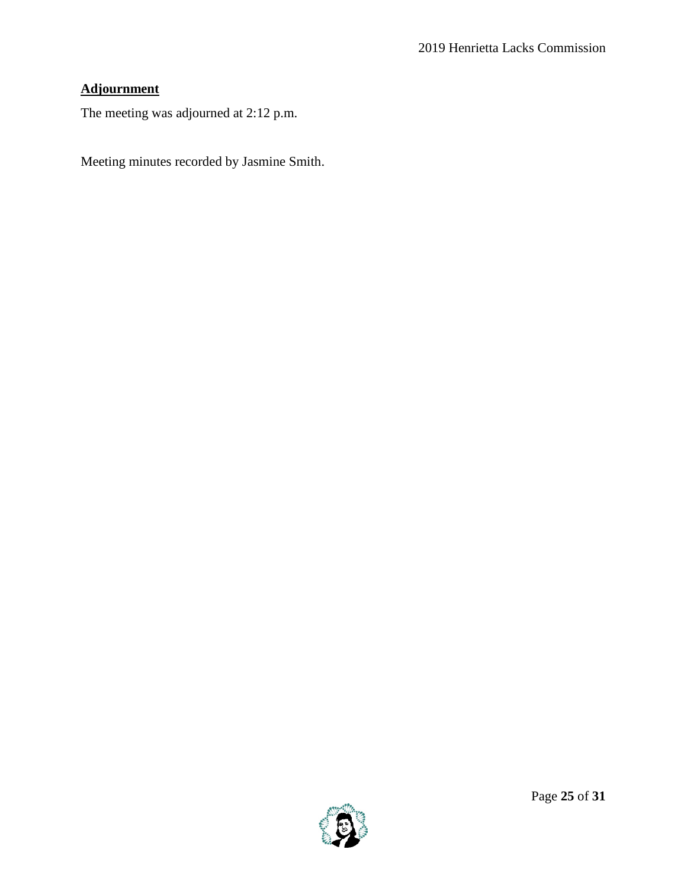# **Adjournment**

The meeting was adjourned at 2:12 p.m.

Meeting minutes recorded by Jasmine Smith.

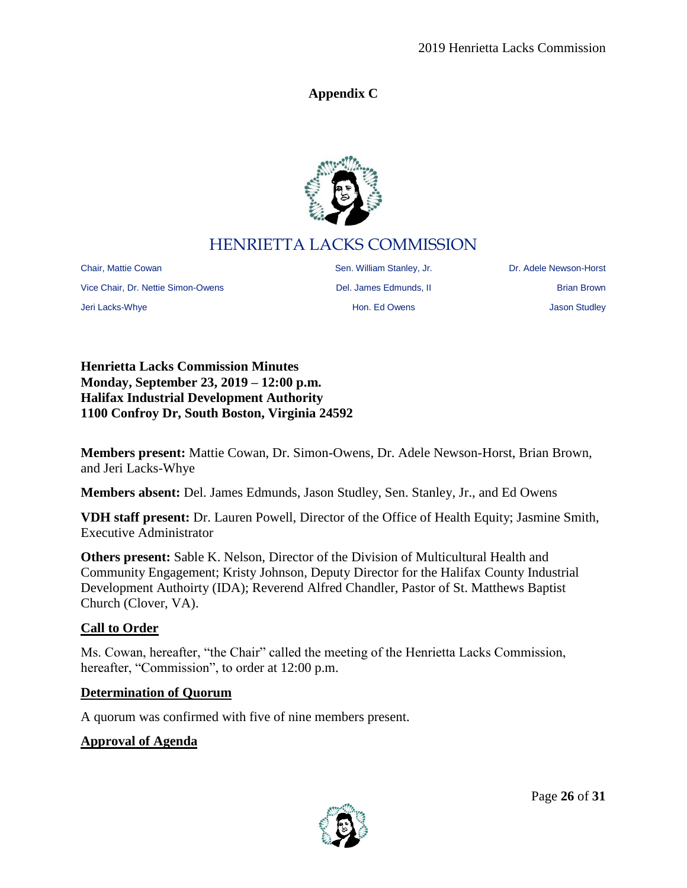# **Appendix C**



# HENRIETTA LACKS COMMISSION

<span id="page-25-0"></span>Chair, Mattie Cowan Sen. William Stanley, Jr. Sen. William Stanley, Jr. Sen. 2016. Nulliam Stanley, Jr. 2016. Dr. Adele Newson-Horst Vice Chair, Dr. Nettie Simon-Owens **Del. James Edmunds, II** Brian Brown Brian Brown Jeri Lacks-Whye Hon. Ed Owens Jason Studley

**Henrietta Lacks Commission Minutes Monday, September 23, 2019 – 12:00 p.m. Halifax Industrial Development Authority 1100 Confroy Dr, South Boston, Virginia 24592**

**Members present:** Mattie Cowan, Dr. Simon-Owens, Dr. Adele Newson-Horst, Brian Brown, and Jeri Lacks-Whye

**Members absent:** Del. James Edmunds, Jason Studley, Sen. Stanley, Jr., and Ed Owens

**VDH staff present:** Dr. Lauren Powell, Director of the Office of Health Equity; Jasmine Smith, Executive Administrator

**Others present:** Sable K. Nelson, Director of the Division of Multicultural Health and Community Engagement; Kristy Johnson, Deputy Director for the Halifax County Industrial Development Authoirty (IDA); Reverend Alfred Chandler, Pastor of St. Matthews Baptist Church (Clover, VA).

### **Call to Order**

Ms. Cowan, hereafter, "the Chair" called the meeting of the Henrietta Lacks Commission, hereafter, "Commission", to order at 12:00 p.m.

### **Determination of Quorum**

A quorum was confirmed with five of nine members present.

### **Approval of Agenda**

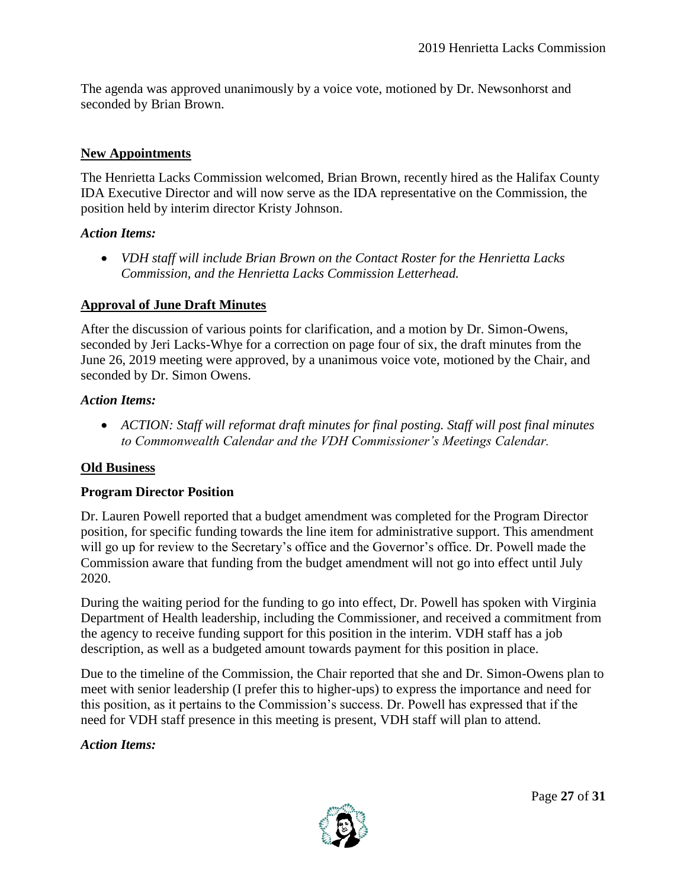The agenda was approved unanimously by a voice vote, motioned by Dr. Newsonhorst and seconded by Brian Brown.

## **New Appointments**

The Henrietta Lacks Commission welcomed, Brian Brown, recently hired as the Halifax County IDA Executive Director and will now serve as the IDA representative on the Commission, the position held by interim director Kristy Johnson.

### *Action Items:*

 *VDH staff will include Brian Brown on the Contact Roster for the Henrietta Lacks Commission, and the Henrietta Lacks Commission Letterhead.*

### **Approval of June Draft Minutes**

After the discussion of various points for clarification, and a motion by Dr. Simon-Owens, seconded by Jeri Lacks-Whye for a correction on page four of six, the draft minutes from the June 26, 2019 meeting were approved, by a unanimous voice vote, motioned by the Chair, and seconded by Dr. Simon Owens.

### *Action Items:*

 *ACTION: Staff will reformat draft minutes for final posting. Staff will post final minutes to Commonwealth Calendar and the VDH Commissioner's Meetings Calendar.* 

### **Old Business**

### **Program Director Position**

Dr. Lauren Powell reported that a budget amendment was completed for the Program Director position, for specific funding towards the line item for administrative support. This amendment will go up for review to the Secretary's office and the Governor's office. Dr. Powell made the Commission aware that funding from the budget amendment will not go into effect until July 2020.

During the waiting period for the funding to go into effect, Dr. Powell has spoken with Virginia Department of Health leadership, including the Commissioner, and received a commitment from the agency to receive funding support for this position in the interim. VDH staff has a job description, as well as a budgeted amount towards payment for this position in place.

Due to the timeline of the Commission, the Chair reported that she and Dr. Simon-Owens plan to meet with senior leadership (I prefer this to higher-ups) to express the importance and need for this position, as it pertains to the Commission's success. Dr. Powell has expressed that if the need for VDH staff presence in this meeting is present, VDH staff will plan to attend.

### *Action Items:*

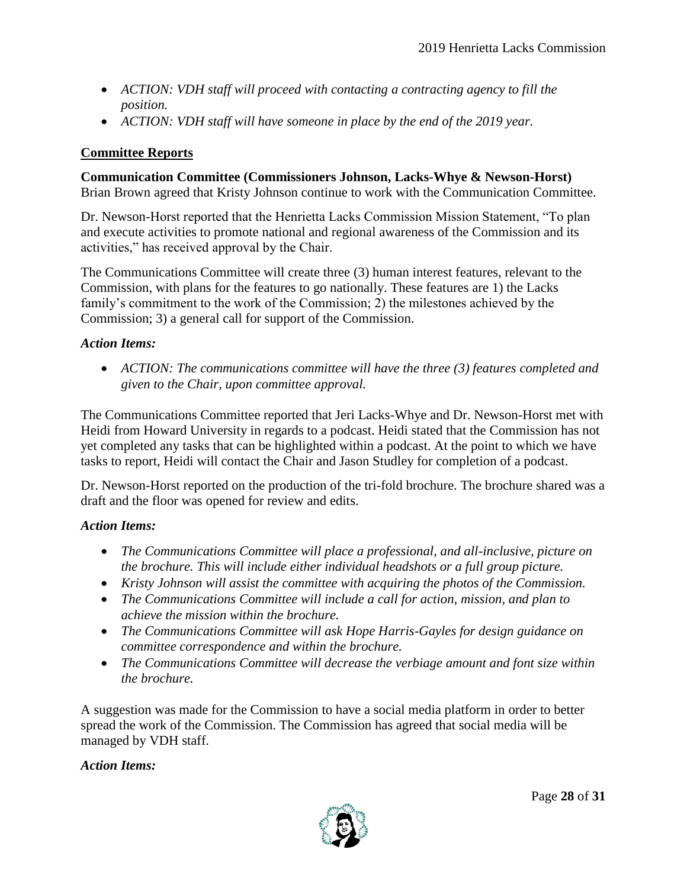- *ACTION: VDH staff will proceed with contacting a contracting agency to fill the position.*
- *ACTION: VDH staff will have someone in place by the end of the 2019 year.*

# **Committee Reports**

**Communication Committee (Commissioners Johnson, Lacks-Whye & Newson-Horst)** Brian Brown agreed that Kristy Johnson continue to work with the Communication Committee.

Dr. Newson-Horst reported that the Henrietta Lacks Commission Mission Statement, "To plan and execute activities to promote national and regional awareness of the Commission and its activities," has received approval by the Chair.

The Communications Committee will create three (3) human interest features, relevant to the Commission, with plans for the features to go nationally. These features are 1) the Lacks family's commitment to the work of the Commission; 2) the milestones achieved by the Commission; 3) a general call for support of the Commission.

### *Action Items:*

 *ACTION: The communications committee will have the three (3) features completed and given to the Chair, upon committee approval.*

The Communications Committee reported that Jeri Lacks-Whye and Dr. Newson-Horst met with Heidi from Howard University in regards to a podcast. Heidi stated that the Commission has not yet completed any tasks that can be highlighted within a podcast. At the point to which we have tasks to report, Heidi will contact the Chair and Jason Studley for completion of a podcast.

Dr. Newson-Horst reported on the production of the tri-fold brochure. The brochure shared was a draft and the floor was opened for review and edits.

### *Action Items:*

- *The Communications Committee will place a professional, and all-inclusive, picture on the brochure. This will include either individual headshots or a full group picture.*
- *Kristy Johnson will assist the committee with acquiring the photos of the Commission.*
- *The Communications Committee will include a call for action, mission, and plan to achieve the mission within the brochure.*
- *The Communications Committee will ask Hope Harris-Gayles for design guidance on committee correspondence and within the brochure.*
- *The Communications Committee will decrease the verbiage amount and font size within the brochure.*

A suggestion was made for the Commission to have a social media platform in order to better spread the work of the Commission. The Commission has agreed that social media will be managed by VDH staff.

### *Action Items:*

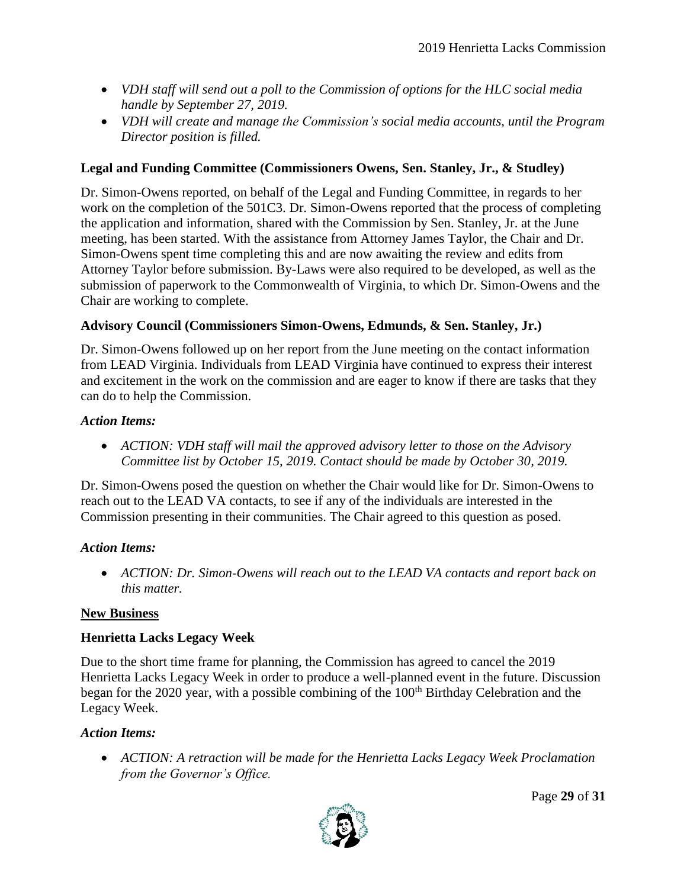- *VDH staff will send out a poll to the Commission of options for the HLC social media handle by September 27, 2019.*
- *VDH will create and manage the Commission's social media accounts, until the Program Director position is filled.*

## **Legal and Funding Committee (Commissioners Owens, Sen. Stanley, Jr., & Studley)**

Dr. Simon-Owens reported, on behalf of the Legal and Funding Committee, in regards to her work on the completion of the 501C3. Dr. Simon-Owens reported that the process of completing the application and information, shared with the Commission by Sen. Stanley, Jr. at the June meeting, has been started. With the assistance from Attorney James Taylor, the Chair and Dr. Simon-Owens spent time completing this and are now awaiting the review and edits from Attorney Taylor before submission. By-Laws were also required to be developed, as well as the submission of paperwork to the Commonwealth of Virginia, to which Dr. Simon-Owens and the Chair are working to complete.

# **Advisory Council (Commissioners Simon-Owens, Edmunds, & Sen. Stanley, Jr.)**

Dr. Simon-Owens followed up on her report from the June meeting on the contact information from LEAD Virginia. Individuals from LEAD Virginia have continued to express their interest and excitement in the work on the commission and are eager to know if there are tasks that they can do to help the Commission.

### *Action Items:*

 *ACTION: VDH staff will mail the approved advisory letter to those on the Advisory Committee list by October 15, 2019. Contact should be made by October 30, 2019.* 

Dr. Simon-Owens posed the question on whether the Chair would like for Dr. Simon-Owens to reach out to the LEAD VA contacts, to see if any of the individuals are interested in the Commission presenting in their communities. The Chair agreed to this question as posed.

### *Action Items:*

 *ACTION: Dr. Simon-Owens will reach out to the LEAD VA contacts and report back on this matter.*

### **New Business**

# **Henrietta Lacks Legacy Week**

Due to the short time frame for planning, the Commission has agreed to cancel the 2019 Henrietta Lacks Legacy Week in order to produce a well-planned event in the future. Discussion began for the 2020 year, with a possible combining of the  $100<sup>th</sup>$  Birthday Celebration and the Legacy Week.

### *Action Items:*

 *ACTION: A retraction will be made for the Henrietta Lacks Legacy Week Proclamation from the Governor's Office.*



Page **29** of **31**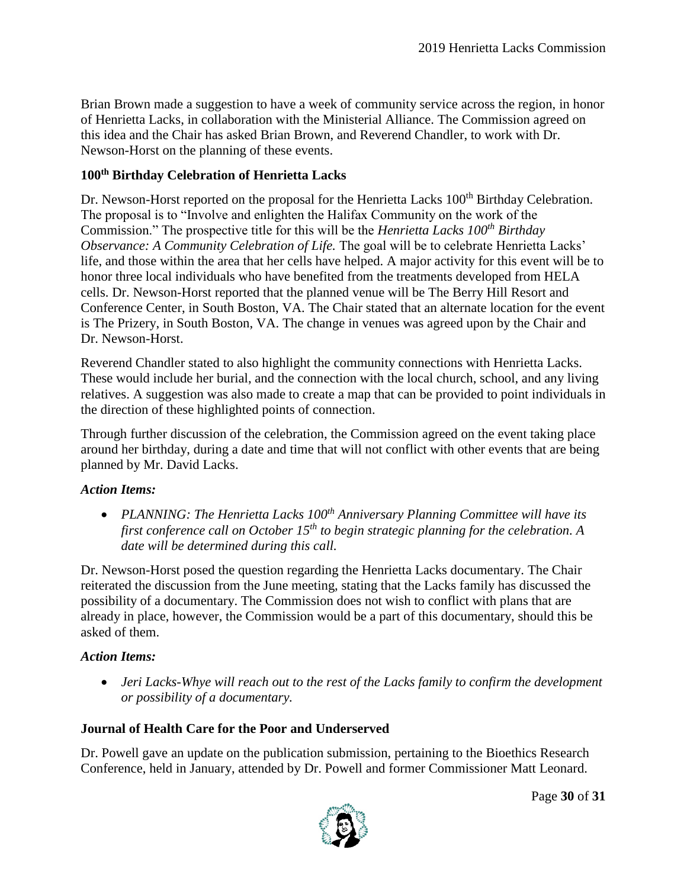Brian Brown made a suggestion to have a week of community service across the region, in honor of Henrietta Lacks, in collaboration with the Ministerial Alliance. The Commission agreed on this idea and the Chair has asked Brian Brown, and Reverend Chandler, to work with Dr. Newson-Horst on the planning of these events.

# **100th Birthday Celebration of Henrietta Lacks**

Dr. Newson-Horst reported on the proposal for the Henrietta Lacks 100<sup>th</sup> Birthday Celebration. The proposal is to "Involve and enlighten the Halifax Community on the work of the Commission." The prospective title for this will be the *Henrietta Lacks 100th Birthday Observance: A Community Celebration of Life.* The goal will be to celebrate Henrietta Lacks' life, and those within the area that her cells have helped. A major activity for this event will be to honor three local individuals who have benefited from the treatments developed from HELA cells. Dr. Newson-Horst reported that the planned venue will be The Berry Hill Resort and Conference Center, in South Boston, VA. The Chair stated that an alternate location for the event is The Prizery, in South Boston, VA. The change in venues was agreed upon by the Chair and Dr. Newson-Horst.

Reverend Chandler stated to also highlight the community connections with Henrietta Lacks. These would include her burial, and the connection with the local church, school, and any living relatives. A suggestion was also made to create a map that can be provided to point individuals in the direction of these highlighted points of connection.

Through further discussion of the celebration, the Commission agreed on the event taking place around her birthday, during a date and time that will not conflict with other events that are being planned by Mr. David Lacks.

### *Action Items:*

 *PLANNING: The Henrietta Lacks 100th Anniversary Planning Committee will have its first conference call on October 15th to begin strategic planning for the celebration. A date will be determined during this call.*

Dr. Newson-Horst posed the question regarding the Henrietta Lacks documentary. The Chair reiterated the discussion from the June meeting, stating that the Lacks family has discussed the possibility of a documentary. The Commission does not wish to conflict with plans that are already in place, however, the Commission would be a part of this documentary, should this be asked of them.

# *Action Items:*

 *Jeri Lacks-Whye will reach out to the rest of the Lacks family to confirm the development or possibility of a documentary.*

# **Journal of Health Care for the Poor and Underserved**

Dr. Powell gave an update on the publication submission, pertaining to the Bioethics Research Conference, held in January, attended by Dr. Powell and former Commissioner Matt Leonard.